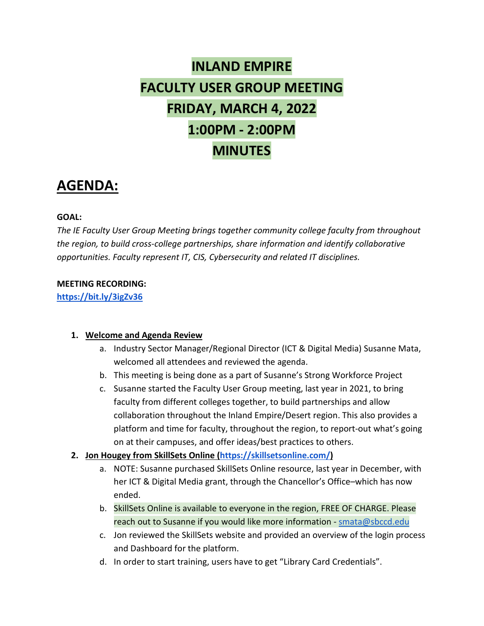# **INLAND EMPIRE FACULTY USER GROUP MEETING FRIDAY, MARCH 4, 2022 1:00PM - 2:00PM MINUTES**

# **AGENDA:**

#### **GOAL:**

*The IE Faculty User Group Meeting brings together community college faculty from throughout the region, to build cross-college partnerships, share information and identify collaborative opportunities. Faculty represent IT, CIS, Cybersecurity and related IT disciplines.*

#### **MEETING RECORDING:**

**<https://bit.ly/3igZv36>**

#### **1. Welcome and Agenda Review**

- a. Industry Sector Manager/Regional Director (ICT & Digital Media) Susanne Mata, welcomed all attendees and reviewed the agenda.
- b. This meeting is being done as a part of Susanne's Strong Workforce Project
- c. Susanne started the Faculty User Group meeting, last year in 2021, to bring faculty from different colleges together, to build partnerships and allow collaboration throughout the Inland Empire/Desert region. This also provides a platform and time for faculty, throughout the region, to report-out what's going on at their campuses, and offer ideas/best practices to others.
- **2. Jon Hougey from SkillSets Online [\(https://skillsetsonline.com/\)](https://skillsetsonline.com/)**
	- a. NOTE: Susanne purchased SkillSets Online resource, last year in December, with her ICT & Digital Media grant, through the Chancellor's Office–which has now ended.
	- b. SkillSets Online is available to everyone in the region, FREE OF CHARGE. Please reach out to Susanne if you would like more information - [smata@sbccd.edu](mailto:smata@sbccd.edu)
	- c. Jon reviewed the SkillSets website and provided an overview of the login process and Dashboard for the platform.
	- d. In order to start training, users have to get "Library Card Credentials".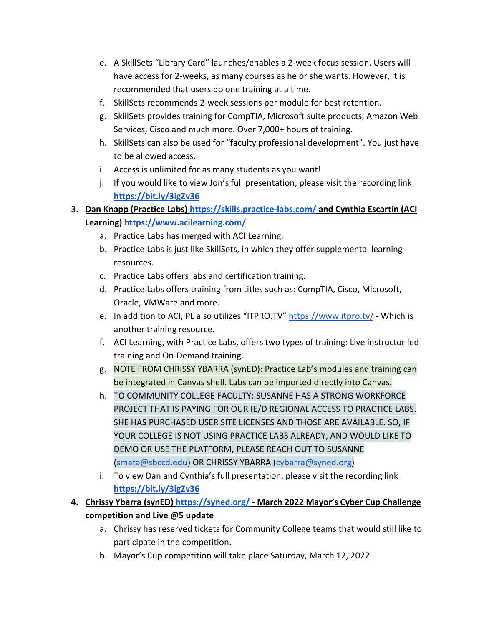- e. A SkillSets "Library Card" launches/enables a 2-week focus session. Users will have access for 2-weeks, as many courses as he or she wants. However, it is recommended that users do one training at a time.
- f. SkillSets recommends 2-week sessions per module for best retention.
- g. SkillSets provides training for CompTIA, Microsoft suite products, Amazon Web Services, Cisco and much more. Over 7,000+ hours of training.
- h. SkillSets can also be used for "faculty professional development". You just have to be allowed access.
- i. Access is unlimited for as many students as you want!
- j. If you would like to view Jon's full presentation, please visit the recording link **<https://bit.ly/3igZv36>**
- 3. **Dan Knapp (Practice Labs)<https://skills.practice-labs.com/> and Cynthia Escartin (ACI Learning)<https://www.acilearning.com/>**
	- a. Practice Labs has merged with ACI Learning.
	- b. Practice Labs is just like SkillSets, in which they offer supplemental learning resources.
	- c. Practice Labs offers labs and certification training.
	- d. Practice Labs offers training from titles such as: CompTIA, Cisco, Microsoft, Oracle, VMWare and more.
	- e. In addition to ACI, PL also utilizes "ITPRO.TV"<https://www.itpro.tv/> Which is another training resource.
	- f. ACI Learning, with Practice Labs, offers two types of training: Live instructor led training and On-Demand training.
	- g. NOTE FROM CHRISSY YBARRA (synED): Practice Lab's modules and training can be integrated in Canvas shell. Labs can be imported directly into Canvas.
	- h. TO COMMUNITY COLLEGE FACULTY: SUSANNE HAS A STRONG WORKFORCE PROJECT THAT IS PAYING FOR OUR IE/D REGIONAL ACCESS TO PRACTICE LABS. SHE HAS PURCHASED USER SITE LICENSES AND THOSE ARE AVAILABLE. SO, IF YOUR COLLEGE IS NOT USING PRACTICE LABS ALREADY, AND WOULD LIKE TO DEMO OR USE THE PLATFORM, PLEASE REACH OUT TO SUSANNE [\(smata@sbccd.edu\)](mailto:smata@sbccd.edu) OR CHRISSY YBARRA (cybarra@syned.org)
	- i. To view Dan and Cynthia's full presentation, please visit the recording link **<https://bit.ly/3igZv36>**
- **4. Chrissy Ybarra (synED)<https://syned.org/> - March 2022 Mayor's Cyber Cup Challenge competition and Live @5 update**
	- a. Chrissy has reserved tickets for Community College teams that would still like to participate in the competition.
	- b. Mayor's Cup competition will take place Saturday, March 12, 2022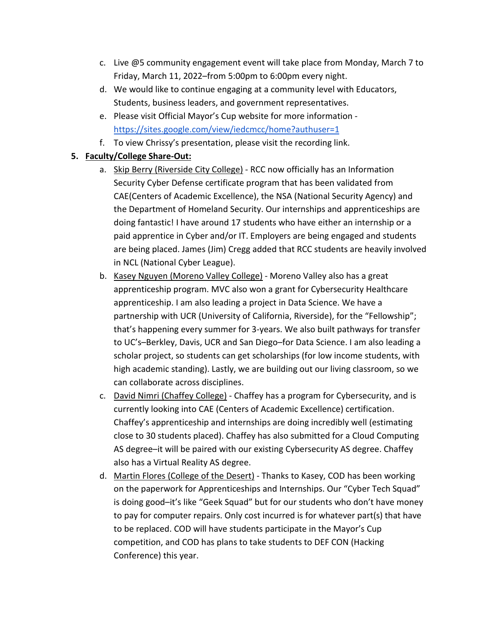- c. Live @5 community engagement event will take place from Monday, March 7 to Friday, March 11, 2022–from 5:00pm to 6:00pm every night.
- d. We would like to continue engaging at a community level with Educators, Students, business leaders, and government representatives.
- e. Please visit Official Mayor's Cup website for more information <https://sites.google.com/view/iedcmcc/home?authuser=1>
- f. To view Chrissy's presentation, please visit the recording link.

#### **5. Faculty/College Share-Out:**

- a. Skip Berry (Riverside City College) RCC now officially has an Information Security Cyber Defense certificate program that has been validated from CAE(Centers of Academic Excellence), the NSA (National Security Agency) and the Department of Homeland Security. Our internships and apprenticeships are doing fantastic! I have around 17 students who have either an internship or a paid apprentice in Cyber and/or IT. Employers are being engaged and students are being placed. James (Jim) Cregg added that RCC students are heavily involved in NCL (National Cyber League).
- b. Kasey Nguyen (Moreno Valley College) Moreno Valley also has a great apprenticeship program. MVC also won a grant for Cybersecurity Healthcare apprenticeship. I am also leading a project in Data Science. We have a partnership with UCR (University of California, Riverside), for the "Fellowship"; that's happening every summer for 3-years. We also built pathways for transfer to UC's–Berkley, Davis, UCR and San Diego–for Data Science. I am also leading a scholar project, so students can get scholarships (for low income students, with high academic standing). Lastly, we are building out our living classroom, so we can collaborate across disciplines.
- c. David Nimri (Chaffey College) Chaffey has a program for Cybersecurity, and is currently looking into CAE (Centers of Academic Excellence) certification. Chaffey's apprenticeship and internships are doing incredibly well (estimating close to 30 students placed). Chaffey has also submitted for a Cloud Computing AS degree–it will be paired with our existing Cybersecurity AS degree. Chaffey also has a Virtual Reality AS degree.
- d. Martin Flores (College of the Desert) Thanks to Kasey, COD has been working on the paperwork for Apprenticeships and Internships. Our "Cyber Tech Squad" is doing good–it's like "Geek Squad" but for our students who don't have money to pay for computer repairs. Only cost incurred is for whatever part(s) that have to be replaced. COD will have students participate in the Mayor's Cup competition, and COD has plans to take students to DEF CON (Hacking Conference) this year.